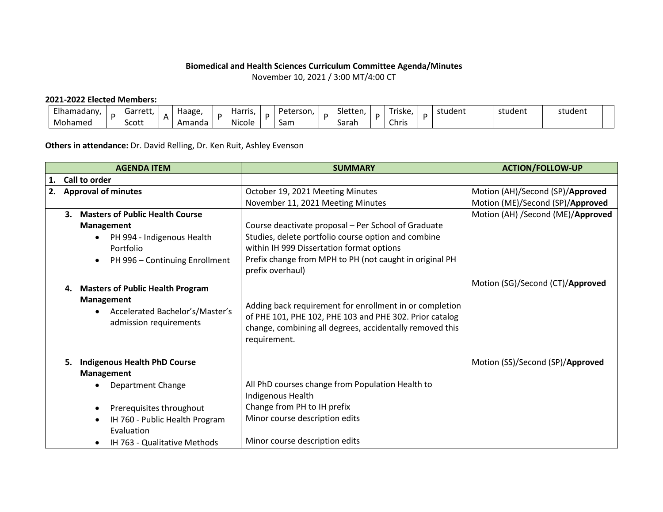## **Biomedical and Health Sciences Curriculum Committee Agenda/Minutes**

November 10, 2021 / 3:00 MT/4:00 CT

## **2021-2022 Elected Members:**

| Elhamadany | Garret* | $\mathbf{v}$ | Haage, | <b>Harris</b><br>. .                  | Peterson, | $\sim$<br>Sletten. | Triske, | student | student | student |
|------------|---------|--------------|--------|---------------------------------------|-----------|--------------------|---------|---------|---------|---------|
| Mohamed    | Scott   | <sub>n</sub> | Amanda | $\ddot{\phantom{0}}$<br><b>Nicole</b> | Sam       | Sarah              | Chris   |         |         |         |

**Others in attendance:** Dr. David Relling, Dr. Ken Ruit, Ashley Evenson

|    | <b>AGENDA ITEM</b>                                       | <b>SUMMARY</b>                                                                                                      | <b>ACTION/FOLLOW-UP</b>           |  |  |  |
|----|----------------------------------------------------------|---------------------------------------------------------------------------------------------------------------------|-----------------------------------|--|--|--|
| 1. | Call to order                                            |                                                                                                                     |                                   |  |  |  |
| 2. | <b>Approval of minutes</b>                               | October 19, 2021 Meeting Minutes                                                                                    | Motion (AH)/Second (SP)/Approved  |  |  |  |
|    |                                                          | November 11, 2021 Meeting Minutes                                                                                   | Motion (ME)/Second (SP)/Approved  |  |  |  |
|    | <b>Masters of Public Health Course</b><br>$\mathbf{3}$ . |                                                                                                                     | Motion (AH) /Second (ME)/Approved |  |  |  |
|    | <b>Management</b>                                        | Course deactivate proposal - Per School of Graduate                                                                 |                                   |  |  |  |
|    | • PH 994 - Indigenous Health                             | Studies, delete portfolio course option and combine                                                                 |                                   |  |  |  |
|    | Portfolio                                                | within IH 999 Dissertation format options                                                                           |                                   |  |  |  |
|    | PH 996 - Continuing Enrollment<br>$\bullet$              | Prefix change from MPH to PH (not caught in original PH<br>prefix overhaul)                                         |                                   |  |  |  |
|    | <b>Masters of Public Health Program</b><br>4.            |                                                                                                                     | Motion (SG)/Second (CT)/Approved  |  |  |  |
|    | Management                                               |                                                                                                                     |                                   |  |  |  |
|    | Accelerated Bachelor's/Master's                          | Adding back requirement for enrollment in or completion                                                             |                                   |  |  |  |
|    | admission requirements                                   | of PHE 101, PHE 102, PHE 103 and PHE 302. Prior catalog<br>change, combining all degrees, accidentally removed this |                                   |  |  |  |
|    |                                                          | requirement.                                                                                                        |                                   |  |  |  |
|    |                                                          |                                                                                                                     |                                   |  |  |  |
|    | <b>Indigenous Health PhD Course</b><br>5.                |                                                                                                                     | Motion (SS)/Second (SP)/Approved  |  |  |  |
|    | <b>Management</b>                                        |                                                                                                                     |                                   |  |  |  |
|    | <b>Department Change</b>                                 | All PhD courses change from Population Health to                                                                    |                                   |  |  |  |
|    |                                                          | Indigenous Health                                                                                                   |                                   |  |  |  |
|    | Prerequisites throughout                                 | Change from PH to IH prefix                                                                                         |                                   |  |  |  |
|    | IH 760 - Public Health Program                           | Minor course description edits                                                                                      |                                   |  |  |  |
|    | Evaluation                                               |                                                                                                                     |                                   |  |  |  |
|    | IH 763 - Qualitative Methods                             | Minor course description edits                                                                                      |                                   |  |  |  |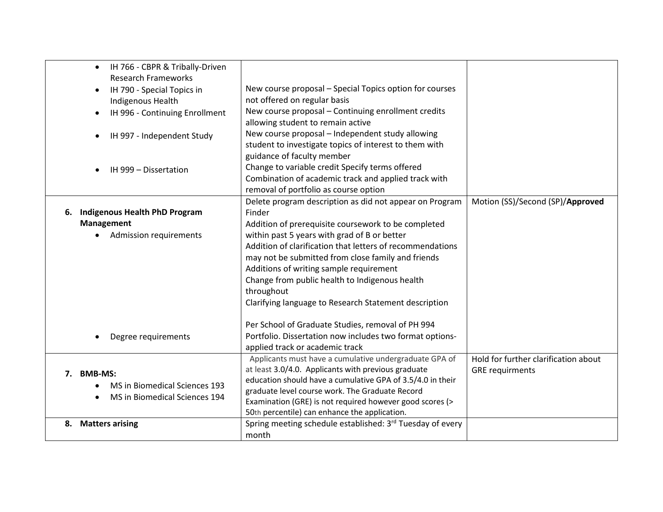| IH 766 - CBPR & Tribally-Driven<br>$\bullet$<br><b>Research Frameworks</b> |                                                            |                                      |
|----------------------------------------------------------------------------|------------------------------------------------------------|--------------------------------------|
| IH 790 - Special Topics in                                                 | New course proposal - Special Topics option for courses    |                                      |
| Indigenous Health                                                          | not offered on regular basis                               |                                      |
| IH 996 - Continuing Enrollment                                             | New course proposal - Continuing enrollment credits        |                                      |
|                                                                            | allowing student to remain active                          |                                      |
| IH 997 - Independent Study                                                 | New course proposal - Independent study allowing           |                                      |
|                                                                            | student to investigate topics of interest to them with     |                                      |
|                                                                            | guidance of faculty member                                 |                                      |
| IH 999 - Dissertation                                                      | Change to variable credit Specify terms offered            |                                      |
|                                                                            | Combination of academic track and applied track with       |                                      |
|                                                                            | removal of portfolio as course option                      |                                      |
|                                                                            | Delete program description as did not appear on Program    | Motion (SS)/Second (SP)/Approved     |
| <b>Indigenous Health PhD Program</b><br>6.                                 | Finder                                                     |                                      |
| Management                                                                 | Addition of prerequisite coursework to be completed        |                                      |
| <b>Admission requirements</b>                                              | within past 5 years with grad of B or better               |                                      |
|                                                                            | Addition of clarification that letters of recommendations  |                                      |
|                                                                            | may not be submitted from close family and friends         |                                      |
|                                                                            | Additions of writing sample requirement                    |                                      |
|                                                                            | Change from public health to Indigenous health             |                                      |
|                                                                            | throughout                                                 |                                      |
|                                                                            | Clarifying language to Research Statement description      |                                      |
|                                                                            |                                                            |                                      |
|                                                                            | Per School of Graduate Studies, removal of PH 994          |                                      |
| Degree requirements                                                        | Portfolio. Dissertation now includes two format options-   |                                      |
|                                                                            | applied track or academic track                            |                                      |
|                                                                            | Applicants must have a cumulative undergraduate GPA of     | Hold for further clarification about |
| <b>BMB-MS:</b><br>7.                                                       | at least 3.0/4.0. Applicants with previous graduate        | <b>GRE</b> requirments               |
| <b>MS in Biomedical Sciences 193</b>                                       | education should have a cumulative GPA of 3.5/4.0 in their |                                      |
|                                                                            | graduate level course work. The Graduate Record            |                                      |
| MS in Biomedical Sciences 194                                              | Examination (GRE) is not required however good scores (>   |                                      |
|                                                                            | 50th percentile) can enhance the application.              |                                      |
| 8. Matters arising                                                         | Spring meeting schedule established: 3rd Tuesday of every  |                                      |
|                                                                            | month                                                      |                                      |